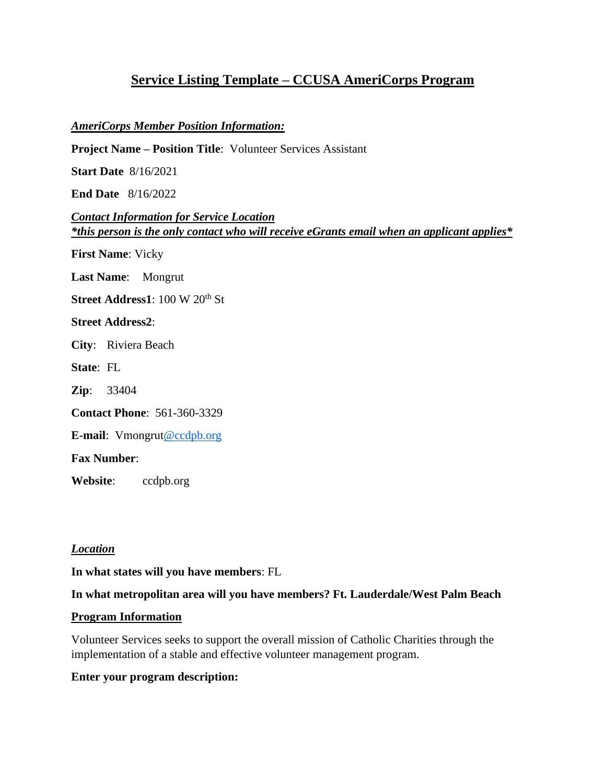# **Service Listing Template – CCUSA AmeriCorps Program**

#### *AmeriCorps Member Position Information:*

**Project Name – Position Title**: Volunteer Services Assistant

**Start Date** 8/16/2021

**End Date** 8/16/2022

*Contact Information for Service Location \*this person is the only contact who will receive eGrants email when an applicant applies\**

**First Name**: Vicky

**Last Name**: Mongrut

**Street Address1**: 100 W 20<sup>th</sup> St

**Street Address2**:

**City**: Riviera Beach

**State**: FL

**Zip**: 33404

**Contact Phone**: 561-360-3329

**E-mail**: Vmongru[t@ccdpb.org](mailto:shaas@ccdpb.org)

**Fax Number**:

**Website**: ccdpb.org

*Location*

**In what states will you have members**: FL

**In what metropolitan area will you have members? Ft. Lauderdale/West Palm Beach**

#### **Program Information**

Volunteer Services seeks to support the overall mission of Catholic Charities through the implementation of a stable and effective volunteer management program.

#### **Enter your program description:**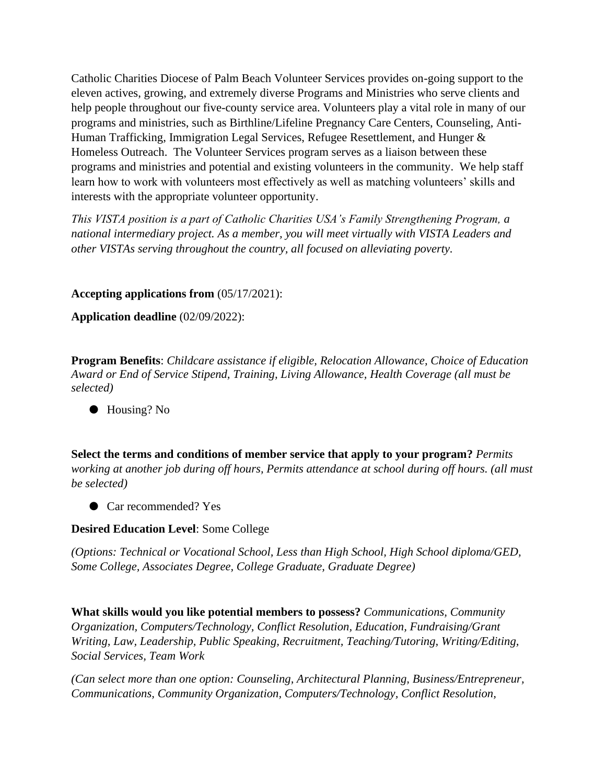Catholic Charities Diocese of Palm Beach Volunteer Services provides on-going support to the eleven actives, growing, and extremely diverse Programs and Ministries who serve clients and help people throughout our five-county service area. Volunteers play a vital role in many of our programs and ministries, such as Birthline/Lifeline Pregnancy Care Centers, Counseling, Anti-Human Trafficking, Immigration Legal Services, Refugee Resettlement, and Hunger & Homeless Outreach. The Volunteer Services program serves as a liaison between these programs and ministries and potential and existing volunteers in the community. We help staff learn how to work with volunteers most effectively as well as matching volunteers' skills and interests with the appropriate volunteer opportunity.

*This VISTA position is a part of Catholic Charities USA's Family Strengthening Program, a national intermediary project. As a member, you will meet virtually with VISTA Leaders and other VISTAs serving throughout the country, all focused on alleviating poverty.* 

#### **Accepting applications from** (05/17/2021):

**Application deadline** (02/09/2022):

**Program Benefits**: *Childcare assistance if eligible, Relocation Allowance, Choice of Education Award or End of Service Stipend, Training, Living Allowance, Health Coverage (all must be selected)*

● Housing? No

**Select the terms and conditions of member service that apply to your program?** *Permits working at another job during off hours, Permits attendance at school during off hours. (all must be selected)*

● Car recommended? Yes

#### **Desired Education Level**: Some College

*(Options: Technical or Vocational School, Less than High School, High School diploma/GED, Some College, Associates Degree, College Graduate, Graduate Degree)*

**What skills would you like potential members to possess?** *Communications, Community Organization, Computers/Technology, Conflict Resolution, Education, Fundraising/Grant Writing, Law, Leadership, Public Speaking, Recruitment, Teaching/Tutoring, Writing/Editing, Social Services, Team Work*

*(Can select more than one option: Counseling, Architectural Planning, Business/Entrepreneur, Communications, Community Organization, Computers/Technology, Conflict Resolution,*